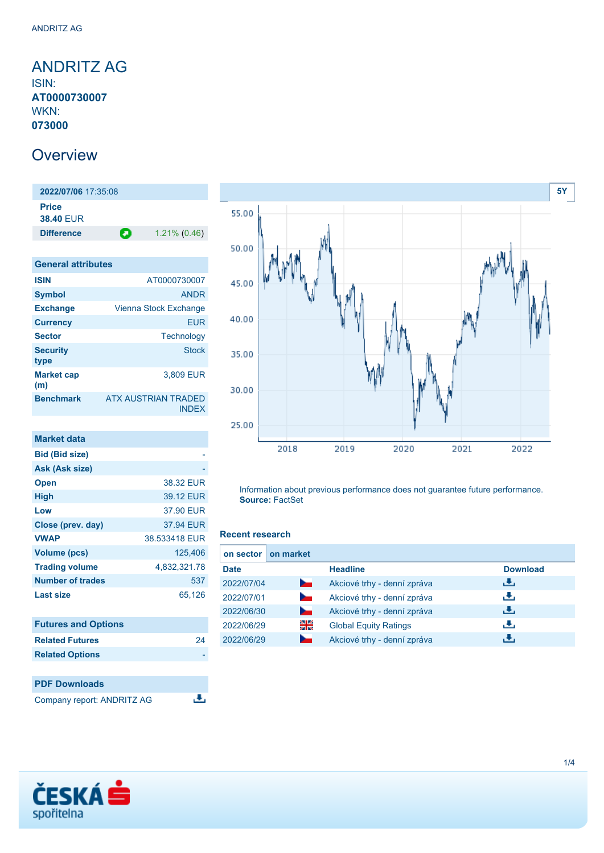### <span id="page-0-0"></span>ANDRITZ AG ISIN: **AT0000730007** WKN: **073000**

## **Overview**

**2022/07/06** 17:35:08 **Price 38.40** EUR **Difference 1.21% (0.46)** 

| <b>General attributes</b> |                                     |
|---------------------------|-------------------------------------|
| <b>ISIN</b>               | AT0000730007                        |
| <b>Symbol</b>             | <b>ANDR</b>                         |
| <b>Exchange</b>           | Vienna Stock Exchange               |
| <b>Currency</b>           | <b>FUR</b>                          |
| <b>Sector</b>             | Technology                          |
| <b>Security</b><br>type   | Stock                               |
| <b>Market cap</b><br>(m)  | 3,809 EUR                           |
| <b>Benchmark</b>          | ATX AUSTRIAN TRADED<br><b>INDEX</b> |

| Market data             |               |
|-------------------------|---------------|
| <b>Bid (Bid size)</b>   |               |
| Ask (Ask size)          |               |
| <b>Open</b>             | 38.32 EUR     |
| <b>High</b>             | 39.12 EUR     |
| Low                     | 37.90 EUR     |
| Close (prev. day)       | 37.94 EUR     |
| <b>VWAP</b>             | 38.533418 EUR |
| <b>Volume (pcs)</b>     | 125.406       |
| <b>Trading volume</b>   | 4,832,321.78  |
| <b>Number of trades</b> | 537           |
| <b>Last size</b>        | 65.126        |

| <b>Futures and Options</b> |    |
|----------------------------|----|
| <b>Related Futures</b>     | 24 |
| <b>Related Options</b>     |    |
|                            |    |

**PDF Downloads** Company report: ANDRITZ AG

 $\overline{.}$ 



Information about previous performance does not guarantee future performance. **Source:** FactSet

#### **Recent research**

| on sector   | on market      |                              |                 |
|-------------|----------------|------------------------------|-----------------|
| <b>Date</b> |                | <b>Headline</b>              | <b>Download</b> |
| 2022/07/04  | <b>Service</b> | Akciové trhy - denní zpráva  | æ,              |
| 2022/07/01  | <b>Service</b> | Akciové trhy - denní zpráva  | æ,              |
| 2022/06/30  | <b>Service</b> | Akciové trhy - denní zpráva  | æ,              |
| 2022/06/29  | 꾉뚢             | <b>Global Equity Ratings</b> | æ,              |
| 2022/06/29  | <b>County</b>  | Akciové trhy - denní zpráva  | υЧ,             |

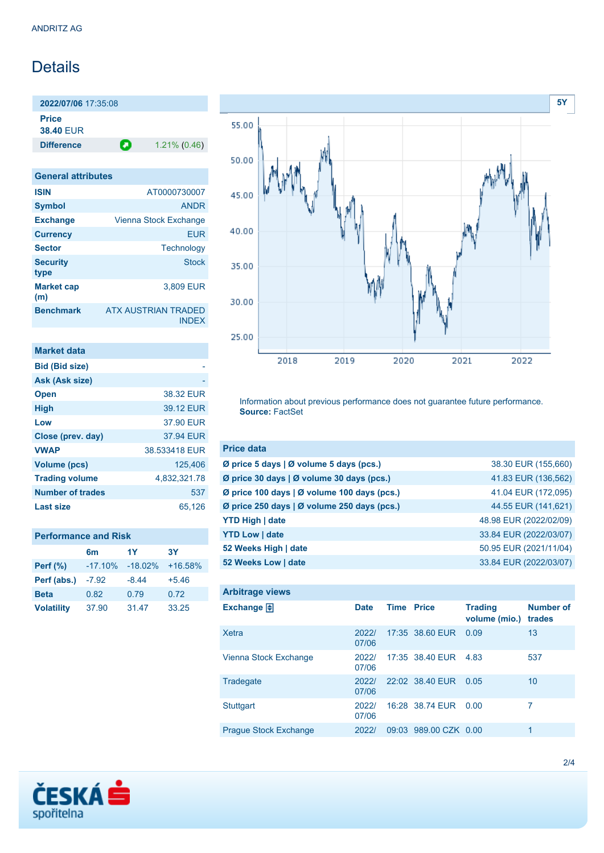# **Details**

**2022/07/06** 17:35:08 **Price 38.40** EUR

**Difference 1.21% (0.46)** 

| <b>General attributes</b> |                                            |
|---------------------------|--------------------------------------------|
| <b>ISIN</b>               | AT0000730007                               |
| <b>Symbol</b>             | <b>ANDR</b>                                |
| <b>Exchange</b>           | Vienna Stock Exchange                      |
| <b>Currency</b>           | <b>EUR</b>                                 |
| <b>Sector</b>             | Technology                                 |
| <b>Security</b><br>type   | Stock                                      |
| <b>Market cap</b><br>(m)  | 3,809 EUR                                  |
| <b>Benchmark</b>          | <b>ATX AUSTRIAN TRADED</b><br><b>INDFX</b> |

| <b>Market data</b>      |               |
|-------------------------|---------------|
| <b>Bid (Bid size)</b>   |               |
| Ask (Ask size)          |               |
| <b>Open</b>             | 38.32 EUR     |
| <b>High</b>             | 39.12 EUR     |
| Low                     | 37.90 EUR     |
| Close (prev. day)       | 37.94 EUR     |
| <b>VWAP</b>             | 38.533418 EUR |
| Volume (pcs)            | 125,406       |
| <b>Trading volume</b>   | 4,832,321.78  |
| <b>Number of trades</b> | 537           |
| Last size               | 65,126        |

| <b>Performance and Risk</b> |  |
|-----------------------------|--|
|-----------------------------|--|

|                   | 6 <sub>m</sub> | 1Y        | <b>3Y</b> |
|-------------------|----------------|-----------|-----------|
| <b>Perf</b> (%)   | $-17.10%$      | $-18.02%$ | $+16.58%$ |
| Perf (abs.)       | $-7.92$        | $-8.44$   | $+5.46$   |
| <b>Beta</b>       | 0.82           | 0.79      | 0.72      |
| <b>Volatility</b> | 37.90          | 31.47     | 33.25     |



Information about previous performance does not guarantee future performance. **Source:** FactSet

| <b>Price data</b>                           |                        |
|---------------------------------------------|------------------------|
| Ø price 5 days   Ø volume 5 days (pcs.)     | 38.30 EUR (155,660)    |
| Ø price 30 days   Ø volume 30 days (pcs.)   | 41.83 EUR (136,562)    |
| Ø price 100 days   Ø volume 100 days (pcs.) | 41.04 EUR (172,095)    |
| Ø price 250 days   Ø volume 250 days (pcs.) | 44.55 EUR (141,621)    |
| <b>YTD High   date</b>                      | 48.98 EUR (2022/02/09) |
| <b>YTD Low   date</b>                       | 33.84 EUR (2022/03/07) |
| 52 Weeks High   date                        | 50.95 EUR (2021/11/04) |
| 52 Weeks Low   date                         | 33.84 EUR (2022/03/07) |

| <b>Arbitrage views</b>       |                |                   |                       |                                 |                            |
|------------------------------|----------------|-------------------|-----------------------|---------------------------------|----------------------------|
| Exchange $\Box$              | <b>Date</b>    | <b>Time Price</b> |                       | <b>Trading</b><br>volume (mio.) | <b>Number of</b><br>trades |
| <b>Xetra</b>                 | 2022/<br>07/06 |                   | 17:35 38.60 EUR       | 0.09                            | 13                         |
| Vienna Stock Exchange        | 2022/<br>07/06 |                   | 17:35 38.40 EUR       | 4.83                            | 537                        |
| Tradegate                    | 20221<br>07/06 |                   | 22:02 38.40 EUR       | 0.05                            | 10                         |
| <b>Stuttgart</b>             | 2022/<br>07/06 |                   | 16:28 38.74 EUR       | 0.00                            | 7                          |
| <b>Prague Stock Exchange</b> | 2022/          |                   | 09:03 989.00 CZK 0.00 |                                 | 1                          |

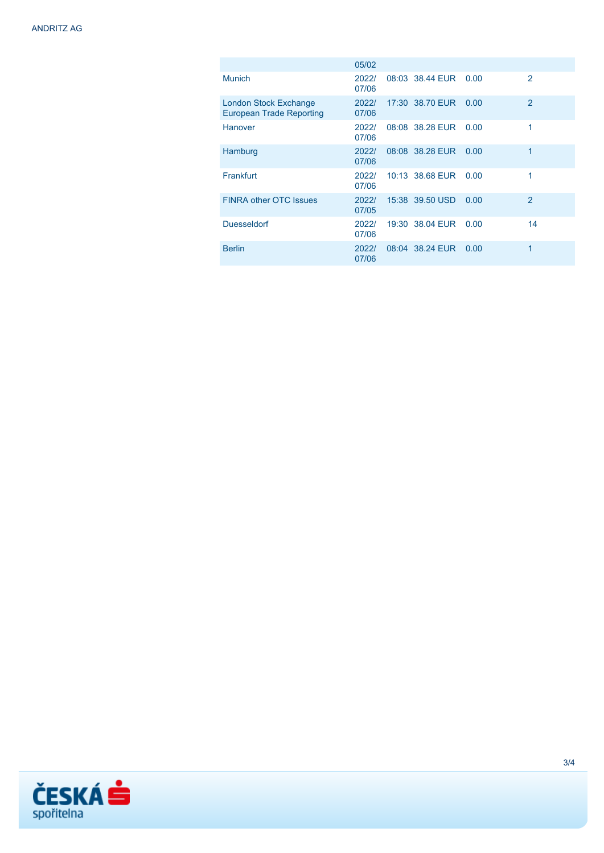|                                                                 | 05/02          |                 |      |                |
|-----------------------------------------------------------------|----------------|-----------------|------|----------------|
| <b>Munich</b>                                                   | 2022/<br>07/06 | 08:03 38.44 EUR | 0.00 | $\mathcal{P}$  |
| <b>London Stock Exchange</b><br><b>European Trade Reporting</b> | 2022/<br>07/06 | 17:30 38.70 EUR | 0.00 | $\overline{2}$ |
| <b>Hanover</b>                                                  | 2022/<br>07/06 | 08:08 38.28 EUR | 0.00 | 1              |
| Hamburg                                                         | 2022/<br>07/06 | 08:08 38.28 EUR | 0.00 | 1              |
| Frankfurt                                                       | 2022/<br>07/06 | 10:13 38.68 EUR | 0.00 | 1              |
| <b>FINRA other OTC Issues</b>                                   | 2022/<br>07/05 | 15:38 39.50 USD | 0.00 | $\overline{2}$ |
| <b>Duesseldorf</b>                                              | 2022/<br>07/06 | 19:30 38.04 EUR | 0.00 | 14             |
| <b>Berlin</b>                                                   | 2022/<br>07/06 | 08:04 38.24 EUR | 0.00 | 1              |